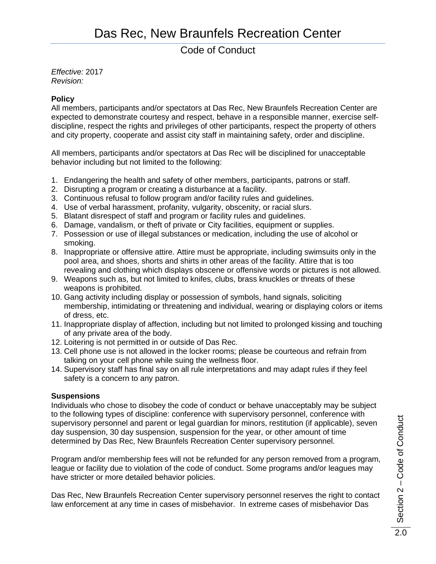## Code of Conduct

*Effective:* 2017 *Revision:*

### **Policy**

All members, participants and/or spectators at Das Rec, New Braunfels Recreation Center are expected to demonstrate courtesy and respect, behave in a responsible manner, exercise selfdiscipline, respect the rights and privileges of other participants, respect the property of others and city property, cooperate and assist city staff in maintaining safety, order and discipline.

All members, participants and/or spectators at Das Rec will be disciplined for unacceptable behavior including but not limited to the following:

- 1. Endangering the health and safety of other members, participants, patrons or staff.
- 2. Disrupting a program or creating a disturbance at a facility.
- 3. Continuous refusal to follow program and/or facility rules and guidelines.
- 4. Use of verbal harassment, profanity, vulgarity, obscenity, or racial slurs.
- 5. Blatant disrespect of staff and program or facility rules and guidelines.
- 6. Damage, vandalism, or theft of private or City facilities, equipment or supplies.
- 7. Possession or use of illegal substances or medication, including the use of alcohol or smoking.
- 8. Inappropriate or offensive attire. Attire must be appropriate, including swimsuits only in the pool area, and shoes, shorts and shirts in other areas of the facility. Attire that is too revealing and clothing which displays obscene or offensive words or pictures is not allowed.
- 9. Weapons such as, but not limited to knifes, clubs, brass knuckles or threats of these weapons is prohibited.
- 10. Gang activity including display or possession of symbols, hand signals, soliciting membership, intimidating or threatening and individual, wearing or displaying colors or items of dress, etc.
- 11. Inappropriate display of affection, including but not limited to prolonged kissing and touching of any private area of the body.
- 12. Loitering is not permitted in or outside of Das Rec.
- 13. Cell phone use is not allowed in the locker rooms; please be courteous and refrain from talking on your cell phone while suing the wellness floor.
- 14. Supervisory staff has final say on all rule interpretations and may adapt rules if they feel safety is a concern to any patron.

#### **Suspensions**

Individuals who chose to disobey the code of conduct or behave unacceptably may be subject to the following types of discipline: conference with supervisory personnel, conference with supervisory personnel and parent or legal guardian for minors, restitution (if applicable), seven day suspension, 30 day suspension, suspension for the year, or other amount of time determined by Das Rec, New Braunfels Recreation Center supervisory personnel.

Program and/or membership fees will not be refunded for any person removed from a program, league or facility due to violation of the code of conduct. Some programs and/or leagues may have stricter or more detailed behavior policies.

Das Rec, New Braunfels Recreation Center supervisory personnel reserves the right to contact law enforcement at any time in cases of misbehavior. In extreme cases of misbehavior Das